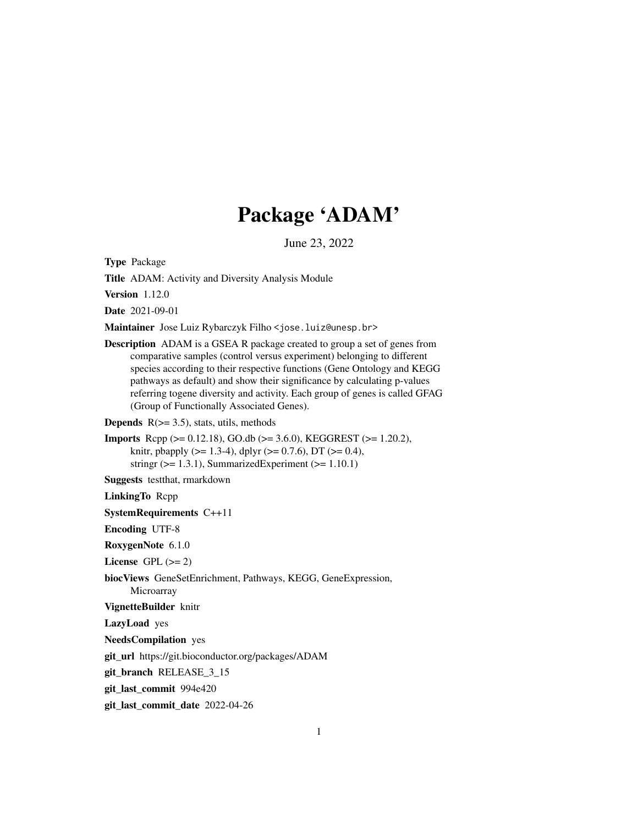## Package 'ADAM'

June 23, 2022

Type Package

Title ADAM: Activity and Diversity Analysis Module

Version 1.12.0

Date 2021-09-01

Maintainer Jose Luiz Rybarczyk Filho <jose.luiz@unesp.br>

Description ADAM is a GSEA R package created to group a set of genes from comparative samples (control versus experiment) belonging to different species according to their respective functions (Gene Ontology and KEGG pathways as default) and show their significance by calculating p-values referring togene diversity and activity. Each group of genes is called GFAG (Group of Functionally Associated Genes).

**Depends**  $R$ ( $> = 3.5$ ), stats, utils, methods

Imports Rcpp (>= 0.12.18), GO.db (>= 3.6.0), KEGGREST (>= 1.20.2), knitr, pbapply ( $>= 1.3-4$ ), dplyr ( $>= 0.7.6$ ), DT ( $>= 0.4$ ), stringr  $(>= 1.3.1)$ , SummarizedExperiment  $(>= 1.10.1)$ 

Suggests testthat, rmarkdown

LinkingTo Rcpp

SystemRequirements C++11

Encoding UTF-8

RoxygenNote 6.1.0

License GPL  $(>= 2)$ 

biocViews GeneSetEnrichment, Pathways, KEGG, GeneExpression, **Microarray** 

VignetteBuilder knitr

LazyLoad yes

NeedsCompilation yes

git\_url https://git.bioconductor.org/packages/ADAM

git\_branch RELEASE\_3\_15

git\_last\_commit 994e420

git\_last\_commit\_date 2022-04-26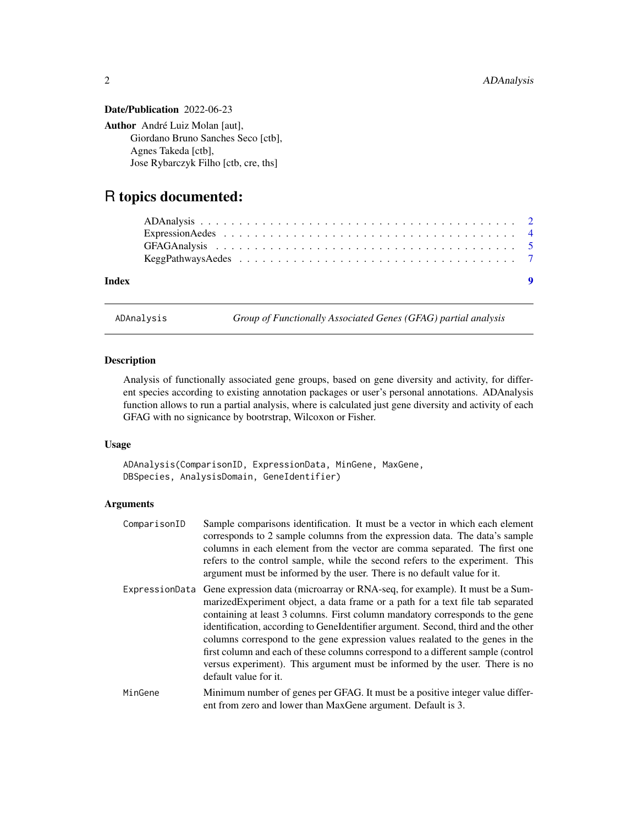#### <span id="page-1-0"></span>Date/Publication 2022-06-23

Author André Luiz Molan [aut], Giordano Bruno Sanches Seco [ctb], Agnes Takeda [ctb], Jose Rybarczyk Filho [ctb, cre, ths]

### R topics documented:

| Index | 0 |
|-------|---|
|       |   |

ADAnalysis *Group of Functionally Associated Genes (GFAG) partial analysis*

#### Description

Analysis of functionally associated gene groups, based on gene diversity and activity, for different species according to existing annotation packages or user's personal annotations. ADAnalysis function allows to run a partial analysis, where is calculated just gene diversity and activity of each GFAG with no signicance by bootrstrap, Wilcoxon or Fisher.

#### Usage

ADAnalysis(ComparisonID, ExpressionData, MinGene, MaxGene, DBSpecies, AnalysisDomain, GeneIdentifier)

#### Arguments

| ComparisonID | Sample comparisons identification. It must be a vector in which each element<br>corresponds to 2 sample columns from the expression data. The data's sample<br>columns in each element from the vector are comma separated. The first one<br>refers to the control sample, while the second refers to the experiment. This<br>argument must be informed by the user. There is no default value for it.                                                                                                                                                                                                                            |
|--------------|-----------------------------------------------------------------------------------------------------------------------------------------------------------------------------------------------------------------------------------------------------------------------------------------------------------------------------------------------------------------------------------------------------------------------------------------------------------------------------------------------------------------------------------------------------------------------------------------------------------------------------------|
|              | ExpressionData Gene expression data (microarray or RNA-seq, for example). It must be a Sum-<br>marized Experiment object, a data frame or a path for a text file tab separated<br>containing at least 3 columns. First column mandatory corresponds to the gene<br>identification, according to Geneldentifier argument. Second, third and the other<br>columns correspond to the gene expression values realated to the genes in the<br>first column and each of these columns correspond to a different sample (control<br>versus experiment). This argument must be informed by the user. There is no<br>default value for it. |
| MinGene      | Minimum number of genes per GFAG. It must be a positive integer value differ-<br>ent from zero and lower than MaxGene argument. Default is 3.                                                                                                                                                                                                                                                                                                                                                                                                                                                                                     |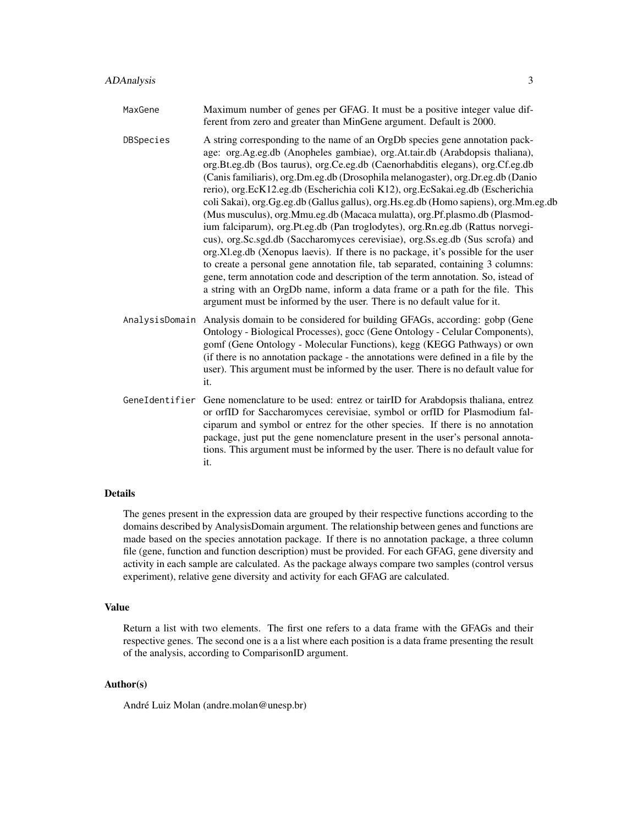| MaxGene        | Maximum number of genes per GFAG. It must be a positive integer value dif-<br>ferent from zero and greater than MinGene argument. Default is 2000.                                                                                                                                                                                                                                                                                                                                                                                                                                                                                                                                                                                                                                                                                                                                                                                                                                                                                                                                                                                                                                       |
|----------------|------------------------------------------------------------------------------------------------------------------------------------------------------------------------------------------------------------------------------------------------------------------------------------------------------------------------------------------------------------------------------------------------------------------------------------------------------------------------------------------------------------------------------------------------------------------------------------------------------------------------------------------------------------------------------------------------------------------------------------------------------------------------------------------------------------------------------------------------------------------------------------------------------------------------------------------------------------------------------------------------------------------------------------------------------------------------------------------------------------------------------------------------------------------------------------------|
| DBSpecies      | A string corresponding to the name of an OrgDb species gene annotation pack-<br>age: org.Ag.eg.db (Anopheles gambiae), org.At.tair.db (Arabdopsis thaliana),<br>org.Bt.eg.db (Bos taurus), org.Ce.eg.db (Caenorhabditis elegans), org.Cf.eg.db<br>(Canis familiaris), org.Dm.eg.db (Drosophila melanogaster), org.Dr.eg.db (Danio<br>rerio), org.EcK12.eg.db (Escherichia coli K12), org.EcSakai.eg.db (Escherichia<br>coli Sakai), org.Gg.eg.db (Gallus gallus), org.Hs.eg.db (Homo sapiens), org.Mm.eg.db<br>(Mus musculus), org. Mmu.eg.db (Macaca mulatta), org. Pf. plasmo.db (Plasmod-<br>ium falciparum), org.Pt.eg.db (Pan troglodytes), org.Rn.eg.db (Rattus norvegi-<br>cus), org.Sc.sgd.db (Saccharomyces cerevisiae), org.Ss.eg.db (Sus scrofa) and<br>org.Xl.eg.db (Xenopus laevis). If there is no package, it's possible for the user<br>to create a personal gene annotation file, tab separated, containing 3 columns:<br>gene, term annotation code and description of the term annotation. So, istead of<br>a string with an OrgDb name, inform a data frame or a path for the file. This<br>argument must be informed by the user. There is no default value for it. |
| AnalysisDomain | Analysis domain to be considered for building GFAGs, according: gobp (Gene<br>Ontology - Biological Processes), gocc (Gene Ontology - Celular Components),<br>gomf (Gene Ontology - Molecular Functions), kegg (KEGG Pathways) or own<br>(if there is no annotation package - the annotations were defined in a file by the<br>user). This argument must be informed by the user. There is no default value for<br>it.                                                                                                                                                                                                                                                                                                                                                                                                                                                                                                                                                                                                                                                                                                                                                                   |
| GeneIdentifier | Gene nomenclature to be used: entrez or tairID for Arabdopsis thaliana, entrez<br>or orfID for Saccharomyces cerevisiae, symbol or orfID for Plasmodium fal-<br>ciparum and symbol or entrez for the other species. If there is no annotation<br>package, just put the gene nomenclature present in the user's personal annota-<br>tions. This argument must be informed by the user. There is no default value for<br>it.                                                                                                                                                                                                                                                                                                                                                                                                                                                                                                                                                                                                                                                                                                                                                               |

#### Details

The genes present in the expression data are grouped by their respective functions according to the domains described by AnalysisDomain argument. The relationship between genes and functions are made based on the species annotation package. If there is no annotation package, a three column file (gene, function and function description) must be provided. For each GFAG, gene diversity and activity in each sample are calculated. As the package always compare two samples (control versus experiment), relative gene diversity and activity for each GFAG are calculated.

#### Value

Return a list with two elements. The first one refers to a data frame with the GFAGs and their respective genes. The second one is a a list where each position is a data frame presenting the result of the analysis, according to ComparisonID argument.

#### Author(s)

André Luiz Molan (andre.molan@unesp.br)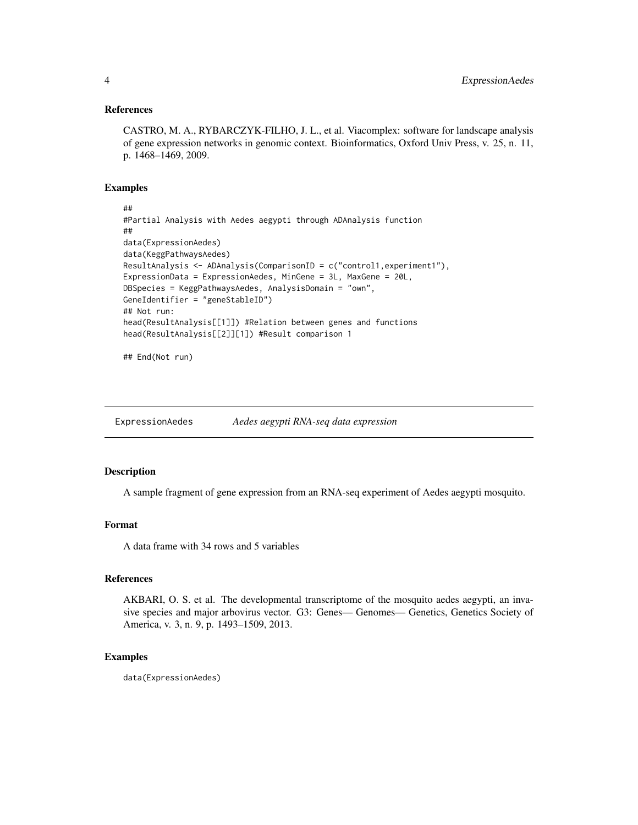#### <span id="page-3-0"></span>References

CASTRO, M. A., RYBARCZYK-FILHO, J. L., et al. Viacomplex: software for landscape analysis of gene expression networks in genomic context. Bioinformatics, Oxford Univ Press, v. 25, n. 11, p. 1468–1469, 2009.

#### Examples

```
##
#Partial Analysis with Aedes aegypti through ADAnalysis function
##
data(ExpressionAedes)
data(KeggPathwaysAedes)
ResultAnalysis <- ADAnalysis(ComparisonID = c("control1,experiment1"),
ExpressionData = ExpressionAedes, MinGene = 3L, MaxGene = 20L,
DBSpecies = KeggPathwaysAedes, AnalysisDomain = "own",
GeneIdentifier = "geneStableID")
## Not run:
head(ResultAnalysis[[1]]) #Relation between genes and functions
head(ResultAnalysis[[2]][1]) #Result comparison 1
```
## End(Not run)

ExpressionAedes *Aedes aegypti RNA-seq data expression*

#### Description

A sample fragment of gene expression from an RNA-seq experiment of Aedes aegypti mosquito.

#### Format

A data frame with 34 rows and 5 variables

#### References

AKBARI, O. S. et al. The developmental transcriptome of the mosquito aedes aegypti, an invasive species and major arbovirus vector. G3: Genes— Genomes— Genetics, Genetics Society of America, v. 3, n. 9, p. 1493–1509, 2013.

#### Examples

data(ExpressionAedes)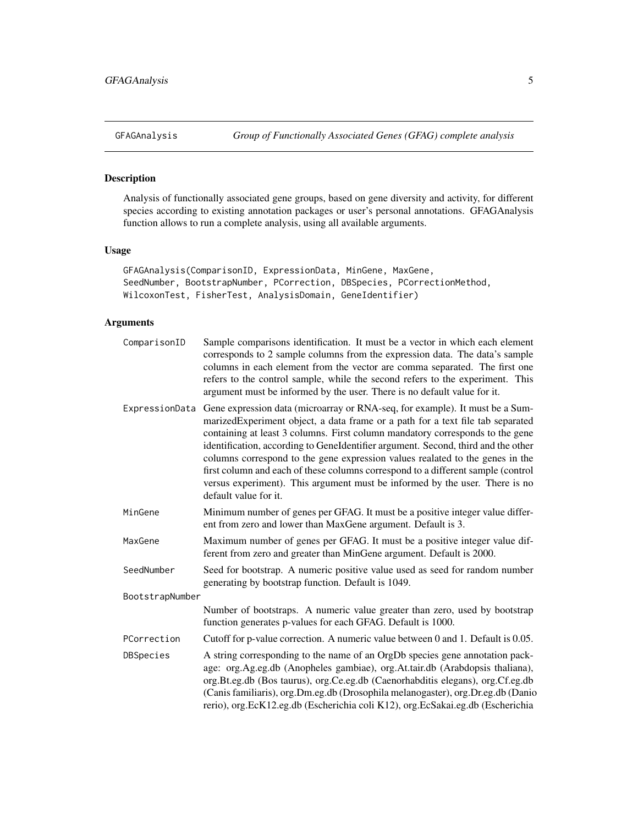#### Description

Analysis of functionally associated gene groups, based on gene diversity and activity, for different species according to existing annotation packages or user's personal annotations. GFAGAnalysis function allows to run a complete analysis, using all available arguments.

#### Usage

```
GFAGAnalysis(ComparisonID, ExpressionData, MinGene, MaxGene,
SeedNumber, BootstrapNumber, PCorrection, DBSpecies, PCorrectionMethod,
WilcoxonTest, FisherTest, AnalysisDomain, GeneIdentifier)
```
#### Arguments

| ComparisonID    | Sample comparisons identification. It must be a vector in which each element<br>corresponds to 2 sample columns from the expression data. The data's sample<br>columns in each element from the vector are comma separated. The first one<br>refers to the control sample, while the second refers to the experiment. This<br>argument must be informed by the user. There is no default value for it.                                                                                                                                                                                                             |
|-----------------|--------------------------------------------------------------------------------------------------------------------------------------------------------------------------------------------------------------------------------------------------------------------------------------------------------------------------------------------------------------------------------------------------------------------------------------------------------------------------------------------------------------------------------------------------------------------------------------------------------------------|
| ExpressionData  | Gene expression data (microarray or RNA-seq, for example). It must be a Sum-<br>marized Experiment object, a data frame or a path for a text file tab separated<br>containing at least 3 columns. First column mandatory corresponds to the gene<br>identification, according to GeneIdentifier argument. Second, third and the other<br>columns correspond to the gene expression values realated to the genes in the<br>first column and each of these columns correspond to a different sample (control<br>versus experiment). This argument must be informed by the user. There is no<br>default value for it. |
| MinGene         | Minimum number of genes per GFAG. It must be a positive integer value differ-<br>ent from zero and lower than MaxGene argument. Default is 3.                                                                                                                                                                                                                                                                                                                                                                                                                                                                      |
| MaxGene         | Maximum number of genes per GFAG. It must be a positive integer value dif-<br>ferent from zero and greater than MinGene argument. Default is 2000.                                                                                                                                                                                                                                                                                                                                                                                                                                                                 |
| SeedNumber      | Seed for bootstrap. A numeric positive value used as seed for random number<br>generating by bootstrap function. Default is 1049.                                                                                                                                                                                                                                                                                                                                                                                                                                                                                  |
| BootstrapNumber |                                                                                                                                                                                                                                                                                                                                                                                                                                                                                                                                                                                                                    |
|                 | Number of bootstraps. A numeric value greater than zero, used by bootstrap<br>function generates p-values for each GFAG. Default is 1000.                                                                                                                                                                                                                                                                                                                                                                                                                                                                          |
| PCorrection     | Cutoff for p-value correction. A numeric value between 0 and 1. Default is 0.05.                                                                                                                                                                                                                                                                                                                                                                                                                                                                                                                                   |
| DBSpecies       | A string corresponding to the name of an OrgDb species gene annotation pack-<br>age: org.Ag.eg.db (Anopheles gambiae), org.At.tair.db (Arabdopsis thaliana),<br>org.Bt.eg.db (Bos taurus), org.Ce.eg.db (Caenorhabditis elegans), org.Cf.eg.db<br>(Canis familiaris), org.Dm.eg.db (Drosophila melanogaster), org.Dr.eg.db (Danio<br>rerio), org.EcK12.eg.db (Escherichia coli K12), org.EcSakai.eg.db (Escherichia                                                                                                                                                                                                |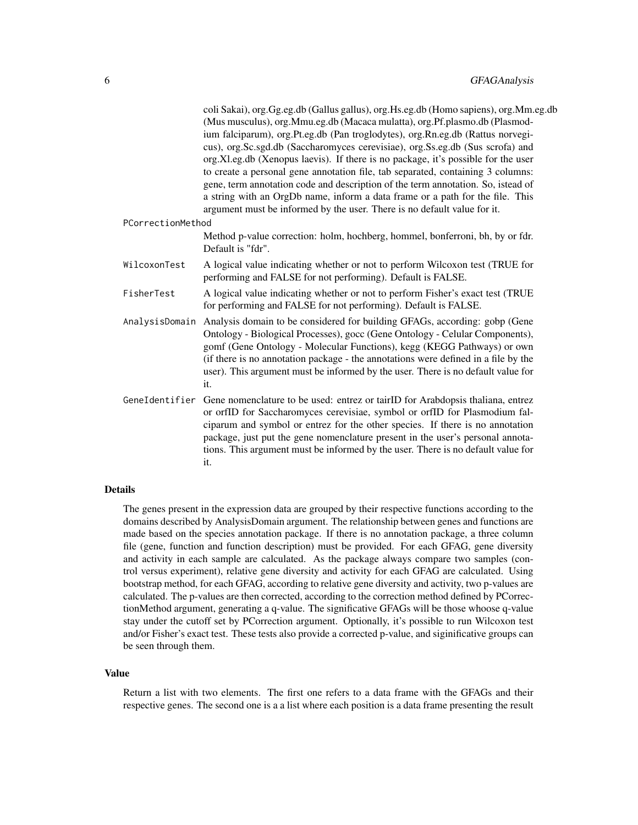|                   | coli Sakai), org.Gg.eg.db (Gallus gallus), org.Hs.eg.db (Homo sapiens), org.Mm.eg.db<br>(Mus musculus), org. Mmu.eg.db (Macaca mulatta), org. Pf. plasmo.db (Plasmod-<br>ium falciparum), org.Pt.eg.db (Pan troglodytes), org.Rn.eg.db (Rattus norvegi-<br>cus), org.Sc.sgd.db (Saccharomyces cerevisiae), org.Ss.eg.db (Sus scrofa) and<br>org.XI.eg.db (Xenopus laevis). If there is no package, it's possible for the user<br>to create a personal gene annotation file, tab separated, containing 3 columns:<br>gene, term annotation code and description of the term annotation. So, istead of<br>a string with an OrgDb name, inform a data frame or a path for the file. This |
|-------------------|---------------------------------------------------------------------------------------------------------------------------------------------------------------------------------------------------------------------------------------------------------------------------------------------------------------------------------------------------------------------------------------------------------------------------------------------------------------------------------------------------------------------------------------------------------------------------------------------------------------------------------------------------------------------------------------|
|                   | argument must be informed by the user. There is no default value for it.                                                                                                                                                                                                                                                                                                                                                                                                                                                                                                                                                                                                              |
| PCorrectionMethod |                                                                                                                                                                                                                                                                                                                                                                                                                                                                                                                                                                                                                                                                                       |
|                   | Method p-value correction: holm, hochberg, hommel, bonferroni, bh, by or fdr.<br>Default is "fdr".                                                                                                                                                                                                                                                                                                                                                                                                                                                                                                                                                                                    |
| WilcoxonTest      | A logical value indicating whether or not to perform Wilcoxon test (TRUE for<br>performing and FALSE for not performing). Default is FALSE.                                                                                                                                                                                                                                                                                                                                                                                                                                                                                                                                           |
| FisherTest        | A logical value indicating whether or not to perform Fisher's exact test (TRUE<br>for performing and FALSE for not performing). Default is FALSE.                                                                                                                                                                                                                                                                                                                                                                                                                                                                                                                                     |
|                   | AnalysisDomain Analysis domain to be considered for building GFAGs, according: gobp (Gene<br>Ontology - Biological Processes), gocc (Gene Ontology - Celular Components),<br>gomf (Gene Ontology - Molecular Functions), kegg (KEGG Pathways) or own<br>(if there is no annotation package - the annotations were defined in a file by the<br>user). This argument must be informed by the user. There is no default value for<br>it.                                                                                                                                                                                                                                                 |
| GeneIdentifier    | Gene nomenclature to be used: entrez or tairID for Arabdopsis thaliana, entrez<br>or orfID for Saccharomyces cerevisiae, symbol or orfID for Plasmodium fal-<br>ciparum and symbol or entrez for the other species. If there is no annotation<br>package, just put the gene nomenclature present in the user's personal annota-<br>tions. This argument must be informed by the user. There is no default value for<br>it.                                                                                                                                                                                                                                                            |

#### Details

The genes present in the expression data are grouped by their respective functions according to the domains described by AnalysisDomain argument. The relationship between genes and functions are made based on the species annotation package. If there is no annotation package, a three column file (gene, function and function description) must be provided. For each GFAG, gene diversity and activity in each sample are calculated. As the package always compare two samples (control versus experiment), relative gene diversity and activity for each GFAG are calculated. Using bootstrap method, for each GFAG, according to relative gene diversity and activity, two p-values are calculated. The p-values are then corrected, according to the correction method defined by PCorrectionMethod argument, generating a q-value. The significative GFAGs will be those whoose q-value stay under the cutoff set by PCorrection argument. Optionally, it's possible to run Wilcoxon test and/or Fisher's exact test. These tests also provide a corrected p-value, and siginificative groups can be seen through them.

#### Value

Return a list with two elements. The first one refers to a data frame with the GFAGs and their respective genes. The second one is a a list where each position is a data frame presenting the result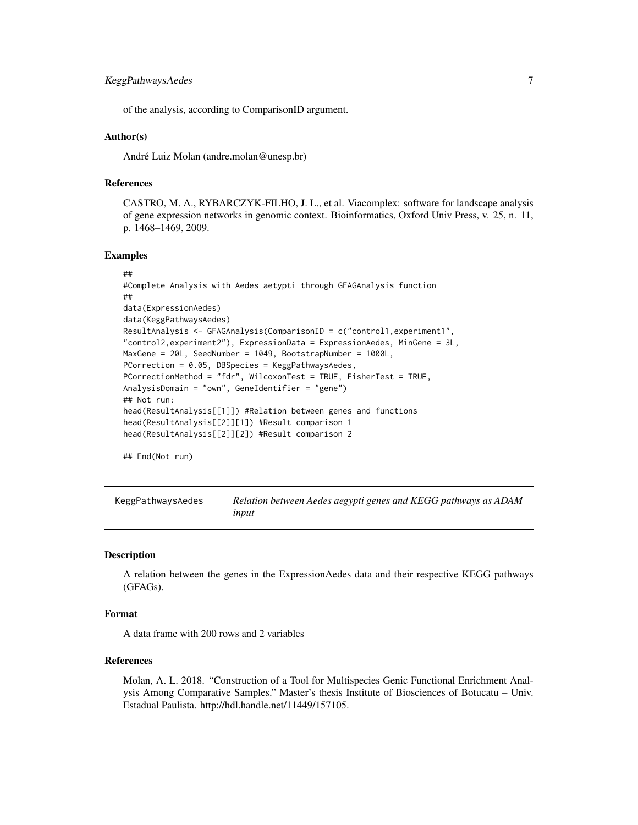#### <span id="page-6-0"></span>KeggPathwaysAedes 7

of the analysis, according to ComparisonID argument.

#### Author(s)

André Luiz Molan (andre.molan@unesp.br)

#### References

CASTRO, M. A., RYBARCZYK-FILHO, J. L., et al. Viacomplex: software for landscape analysis of gene expression networks in genomic context. Bioinformatics, Oxford Univ Press, v. 25, n. 11, p. 1468–1469, 2009.

#### Examples

```
##
#Complete Analysis with Aedes aetypti through GFAGAnalysis function
##
data(ExpressionAedes)
data(KeggPathwaysAedes)
ResultAnalysis <- GFAGAnalysis(ComparisonID = c("control1,experiment1",
"control2,experiment2"), ExpressionData = ExpressionAedes, MinGene = 3L,
MaxGene = 20L, SeedNumber = 1049, BootstrapNumber = 1000L,
PCorrection = 0.05, DBSpecies = KeggPathwaysAedes,
PCorrectionMethod = "fdr", WilcoxonTest = TRUE, FisherTest = TRUE,
AnalysisDomain = "own", GeneIdentifier = "gene")
## Not run:
head(ResultAnalysis[[1]]) #Relation between genes and functions
head(ResultAnalysis[[2]][1]) #Result comparison 1
head(ResultAnalysis[[2]][2]) #Result comparison 2
```
## End(Not run)

KeggPathwaysAedes *Relation between Aedes aegypti genes and KEGG pathways as ADAM input*

#### Description

A relation between the genes in the ExpressionAedes data and their respective KEGG pathways (GFAGs).

#### Format

A data frame with 200 rows and 2 variables

#### References

Molan, A. L. 2018. "Construction of a Tool for Multispecies Genic Functional Enrichment Analysis Among Comparative Samples." Master's thesis Institute of Biosciences of Botucatu – Univ. Estadual Paulista. http://hdl.handle.net/11449/157105.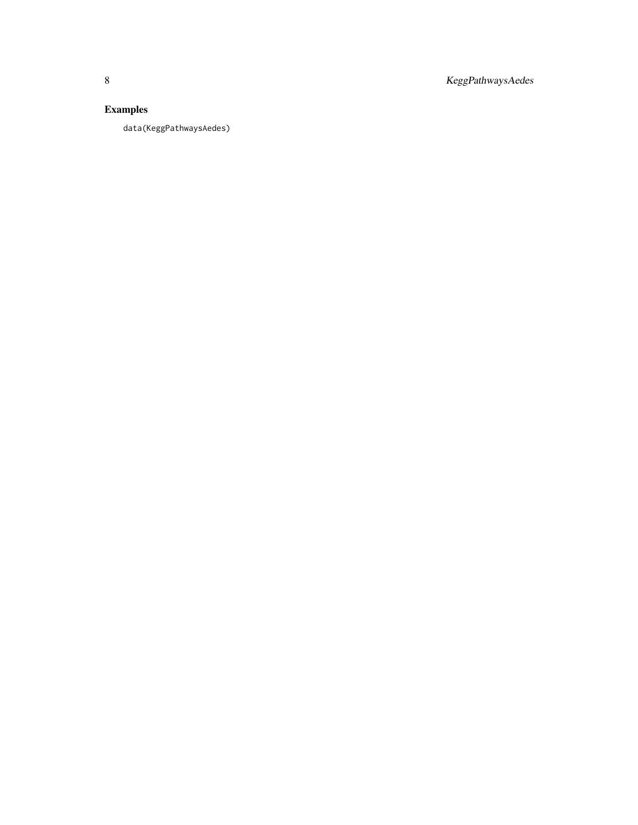8 KeggPathwaysAedes

#### Examples

data(KeggPathwaysAedes)